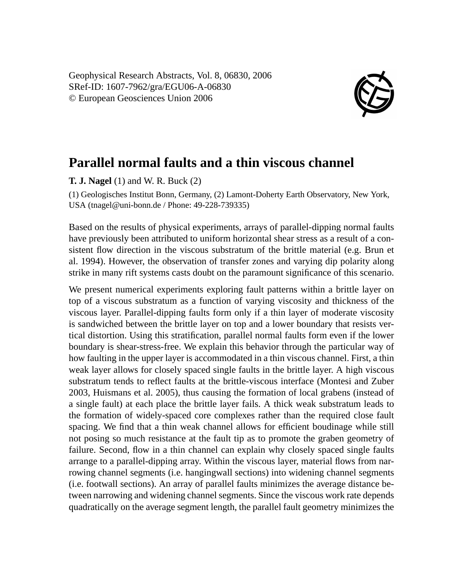Geophysical Research Abstracts, Vol. 8, 06830, 2006 SRef-ID: 1607-7962/gra/EGU06-A-06830 © European Geosciences Union 2006



## **Parallel normal faults and a thin viscous channel**

**T. J. Nagel** (1) and W. R. Buck (2)

(1) Geologisches Institut Bonn, Germany, (2) Lamont-Doherty Earth Observatory, New York, USA (tnagel@uni-bonn.de / Phone: 49-228-739335)

Based on the results of physical experiments, arrays of parallel-dipping normal faults have previously been attributed to uniform horizontal shear stress as a result of a consistent flow direction in the viscous substratum of the brittle material (e.g. Brun et al. 1994). However, the observation of transfer zones and varying dip polarity along strike in many rift systems casts doubt on the paramount significance of this scenario.

We present numerical experiments exploring fault patterns within a brittle layer on top of a viscous substratum as a function of varying viscosity and thickness of the viscous layer. Parallel-dipping faults form only if a thin layer of moderate viscosity is sandwiched between the brittle layer on top and a lower boundary that resists vertical distortion. Using this stratification, parallel normal faults form even if the lower boundary is shear-stress-free. We explain this behavior through the particular way of how faulting in the upper layer is accommodated in a thin viscous channel. First, a thin weak layer allows for closely spaced single faults in the brittle layer. A high viscous substratum tends to reflect faults at the brittle-viscous interface (Montesi and Zuber 2003, Huismans et al. 2005), thus causing the formation of local grabens (instead of a single fault) at each place the brittle layer fails. A thick weak substratum leads to the formation of widely-spaced core complexes rather than the required close fault spacing. We find that a thin weak channel allows for efficient boudinage while still not posing so much resistance at the fault tip as to promote the graben geometry of failure. Second, flow in a thin channel can explain why closely spaced single faults arrange to a parallel-dipping array. Within the viscous layer, material flows from narrowing channel segments (i.e. hangingwall sections) into widening channel segments (i.e. footwall sections). An array of parallel faults minimizes the average distance between narrowing and widening channel segments. Since the viscous work rate depends quadratically on the average segment length, the parallel fault geometry minimizes the